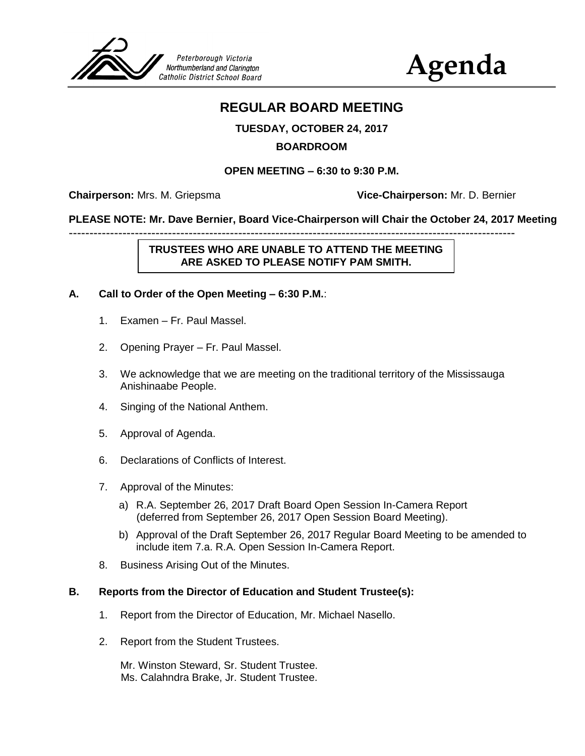

# **Agenda**

# **REGULAR BOARD MEETING**

# **TUESDAY, OCTOBER 24, 2017**

#### **BOARDROOM**

#### **OPEN MEETING – 6:30 to 9:30 P.M.**

**Chairperson:** Mrs. M. Griepsma **Vice-Chairperson:** Mr. D. Bernier

#### **PLEASE NOTE: Mr. Dave Bernier, Board Vice-Chairperson will Chair the October 24, 2017 Meeting**

**TRUSTEES WHO ARE UNABLE TO ATTEND THE MEETING ARE ASKED TO PLEASE NOTIFY PAM SMITH.**

------------------------------------------------------------------------------------------------------------

#### **A. Call to Order of the Open Meeting – 6:30 P.M.**:

- 1. Examen Fr. Paul Massel.
- 2. Opening Prayer Fr. Paul Massel.
- 3. We acknowledge that we are meeting on the traditional territory of the Mississauga Anishinaabe People.
- 4. Singing of the National Anthem.
- 5. Approval of Agenda.
- 6. Declarations of Conflicts of Interest.
- 7. Approval of the Minutes:
	- a) R.A. September 26, 2017 Draft Board Open Session In-Camera Report (deferred from September 26, 2017 Open Session Board Meeting).
	- b) Approval of the Draft September 26, 2017 Regular Board Meeting to be amended to include item 7.a. R.A. Open Session In-Camera Report.
- 8. Business Arising Out of the Minutes.

#### **B. Reports from the Director of Education and Student Trustee(s):**

- 1. Report from the Director of Education, Mr. Michael Nasello.
- 2. Report from the Student Trustees.

Mr. Winston Steward, Sr. Student Trustee. Ms. Calahndra Brake, Jr. Student Trustee.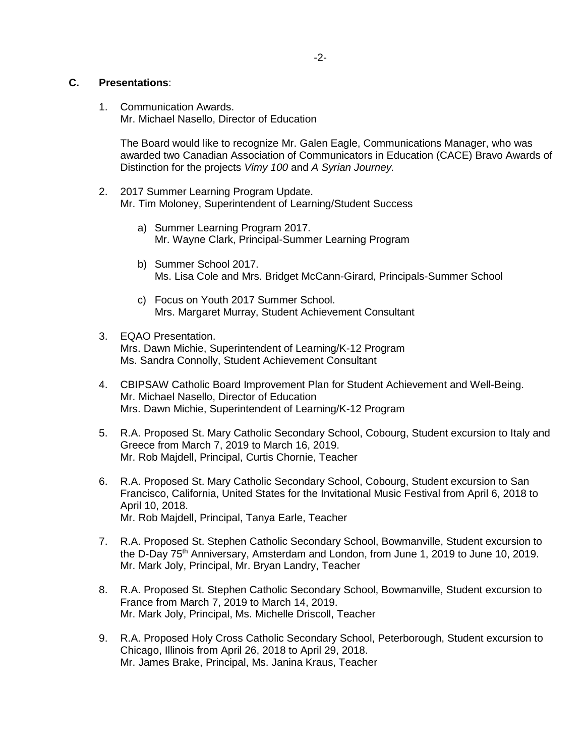#### **C. Presentations**:

1. Communication Awards. Mr. Michael Nasello, Director of Education

The Board would like to recognize Mr. Galen Eagle, Communications Manager, who was awarded two Canadian Association of Communicators in Education (CACE) Bravo Awards of Distinction for the projects *Vimy 100* and *A Syrian Journey.*

- 2. 2017 Summer Learning Program Update. Mr. Tim Moloney, Superintendent of Learning/Student Success
	- a) Summer Learning Program 2017. Mr. Wayne Clark, Principal-Summer Learning Program
	- b) Summer School 2017. Ms. Lisa Cole and Mrs. Bridget McCann-Girard, Principals-Summer School
	- c) Focus on Youth 2017 Summer School. Mrs. Margaret Murray, Student Achievement Consultant
- 3. EQAO Presentation. Mrs. Dawn Michie, Superintendent of Learning/K-12 Program Ms. Sandra Connolly, Student Achievement Consultant
- 4. CBIPSAW Catholic Board Improvement Plan for Student Achievement and Well-Being. Mr. Michael Nasello, Director of Education Mrs. Dawn Michie, Superintendent of Learning/K-12 Program
- 5. R.A. Proposed St. Mary Catholic Secondary School, Cobourg, Student excursion to Italy and Greece from March 7, 2019 to March 16, 2019. Mr. Rob Majdell, Principal, Curtis Chornie, Teacher
- 6. R.A. Proposed St. Mary Catholic Secondary School, Cobourg, Student excursion to San Francisco, California, United States for the Invitational Music Festival from April 6, 2018 to April 10, 2018. Mr. Rob Majdell, Principal, Tanya Earle, Teacher
- 7. R.A. Proposed St. Stephen Catholic Secondary School, Bowmanville, Student excursion to the D-Day 75<sup>th</sup> Anniversary, Amsterdam and London, from June 1, 2019 to June 10, 2019. Mr. Mark Joly, Principal, Mr. Bryan Landry, Teacher
- 8. R.A. Proposed St. Stephen Catholic Secondary School, Bowmanville, Student excursion to France from March 7, 2019 to March 14, 2019. Mr. Mark Joly, Principal, Ms. Michelle Driscoll, Teacher
- 9. R.A. Proposed Holy Cross Catholic Secondary School, Peterborough, Student excursion to Chicago, Illinois from April 26, 2018 to April 29, 2018. Mr. James Brake, Principal, Ms. Janina Kraus, Teacher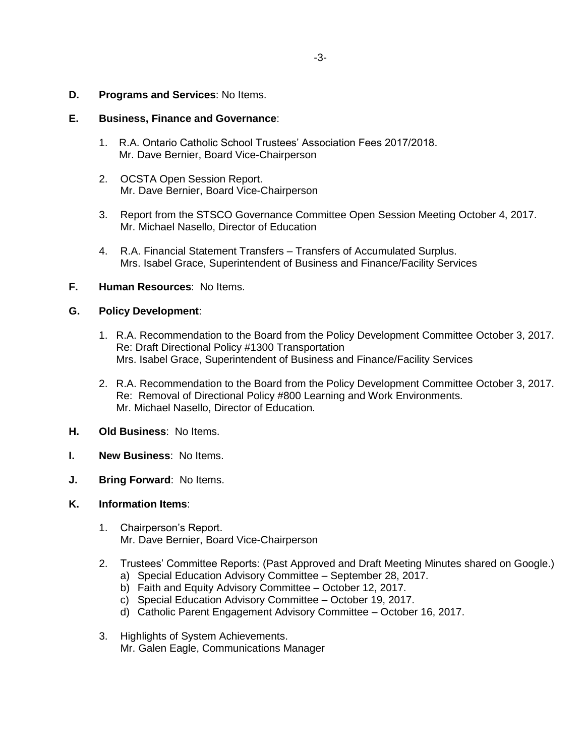**D. Programs and Services**: No Items.

#### **E. Business, Finance and Governance**:

- 1. R.A. Ontario Catholic School Trustees' Association Fees 2017/2018. Mr. Dave Bernier, Board Vice-Chairperson
- 2. OCSTA Open Session Report. Mr. Dave Bernier, Board Vice-Chairperson
- 3. Report from the STSCO Governance Committee Open Session Meeting October 4, 2017. Mr. Michael Nasello, Director of Education
- 4. R.A. Financial Statement Transfers Transfers of Accumulated Surplus. Mrs. Isabel Grace, Superintendent of Business and Finance/Facility Services

#### **F. Human Resources**: No Items.

#### **G. Policy Development**:

- 1. R.A. Recommendation to the Board from the Policy Development Committee October 3, 2017. Re: Draft Directional Policy #1300 Transportation Mrs. Isabel Grace, Superintendent of Business and Finance/Facility Services Draft DP PG 18
- 2. R.A. Recommendation to the Board from the Policy Development Committee October 3, 2017. Re: Removal of Directional Policy #800 Learning and Work Environments. Mr. Michael Nasello, Director of Education.
- **H. Old Business**: No Items.
- **I. New Business**: No Items.
- **J. Bring Forward**: No Items.

#### **K. Information Items**:

- 1. Chairperson's Report. Mr. Dave Bernier, Board Vice-Chairperson
- 2. Trustees' Committee Reports: (Past Approved and Draft Meeting Minutes shared on Google.)
	- a) Special Education Advisory Committee September 28, 2017.
	- b) Faith and Equity Advisory Committee October 12, 2017.
	- c) Special Education Advisory Committee October 19, 2017.
	- d) Catholic Parent Engagement Advisory Committee October 16, 2017.
- 3. Highlights of System Achievements. Mr. Galen Eagle, Communications Manager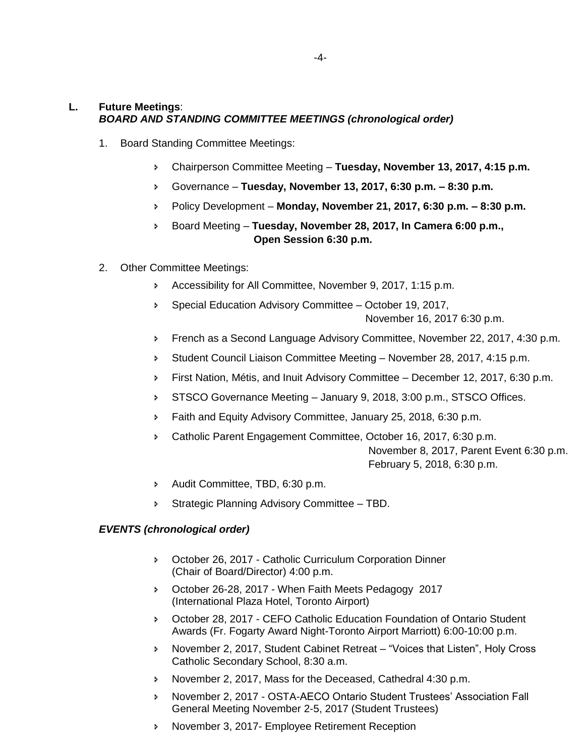### **L. Future Meetings**: *BOARD AND STANDING COMMITTEE MEETINGS (chronological order)*

- 1. Board Standing Committee Meetings:
	- Chairperson Committee Meeting **Tuesday, November 13, 2017, 4:15 p.m.**
	- Governance **Tuesday, November 13, 2017, 6:30 p.m. – 8:30 p.m.**
	- Policy Development **Monday, November 21, 2017, 6:30 p.m. – 8:30 p.m.**
	- Board Meeting **Tuesday, November 28, 2017, In Camera 6:00 p.m., Open Session 6:30 p.m.**
- 2. Other Committee Meetings:
	- Accessibility for All Committee, November 9, 2017, 1:15 p.m.
	- Special Education Advisory Committee October 19, 2017, November 16, 2017 6:30 p.m.
	- French as a Second Language Advisory Committee, November 22, 2017, 4:30 p.m.
	- Student Council Liaison Committee Meeting November 28, 2017, 4:15 p.m.
	- First Nation, Métis, and Inuit Advisory Committee December 12, 2017, 6:30 p.m.
	- STSCO Governance Meeting January 9, 2018, 3:00 p.m., STSCO Offices.
	- **Faith and Equity Advisory Committee, January 25, 2018, 6:30 p.m.**
	- Catholic Parent Engagement Committee, October 16, 2017, 6:30 p.m. November 8, 2017, Parent Event 6:30 p.m. February 5, 2018, 6:30 p.m.
	- Audit Committee, TBD, 6:30 p.m.
	- Strategic Planning Advisory Committee TBD.

#### *EVENTS (chronological order)*

- October 26, 2017 Catholic Curriculum Corporation Dinner (Chair of Board/Director) 4:00 p.m.
- October 26-28, 2017 When Faith Meets Pedagogy 2017 (International Plaza Hotel, Toronto Airport)
- October 28, 2017 CEFO Catholic Education Foundation of Ontario Student Awards (Fr. Fogarty Award Night-Toronto Airport Marriott) 6:00-10:00 p.m.
- November 2, 2017, Student Cabinet Retreat "Voices that Listen", Holy Cross Catholic Secondary School, 8:30 a.m.
- November 2, 2017, Mass for the Deceased, Cathedral 4:30 p.m.
- November 2, 2017 OSTA-AECO Ontario Student Trustees' Association Fall General Meeting November 2-5, 2017 (Student Trustees)
- November 3, 2017- Employee Retirement Reception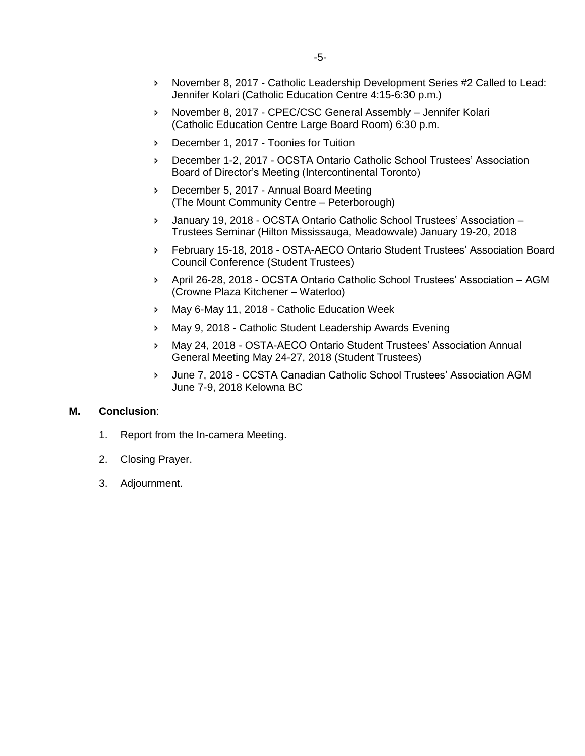- November 8, 2017 Catholic Leadership Development Series #2 Called to Lead: Jennifer Kolari (Catholic Education Centre 4:15-6:30 p.m.)
- November 8, 2017 CPEC/CSC General Assembly Jennifer Kolari (Catholic Education Centre Large Board Room) 6:30 p.m.
- **December 1, 2017 Toonies for Tuition**
- December 1-2, 2017 OCSTA Ontario Catholic School Trustees' Association Board of Director's Meeting (Intercontinental Toronto)
- December 5, 2017 Annual Board Meeting (The Mount Community Centre – Peterborough)
- January 19, 2018 OCSTA Ontario Catholic School Trustees' Association Trustees Seminar (Hilton Mississauga, Meadowvale) January 19-20, 2018
- February 15-18, 2018 OSTA-AECO Ontario Student Trustees' Association Board Council Conference (Student Trustees)
- April 26-28, 2018 OCSTA Ontario Catholic School Trustees' Association AGM (Crowne Plaza Kitchener – Waterloo)
- May 6-May 11, 2018 Catholic Education Week
- May 9, 2018 Catholic Student Leadership Awards Evening
- May 24, 2018 OSTA-AECO Ontario Student Trustees' Association Annual General Meeting May 24-27, 2018 (Student Trustees)
- June 7, 2018 CCSTA Canadian Catholic School Trustees' Association AGM June 7-9, 2018 Kelowna BC

#### **M. Conclusion**:

- 1. Report from the In-camera Meeting.
- 2. Closing Prayer.
- 3. Adjournment.